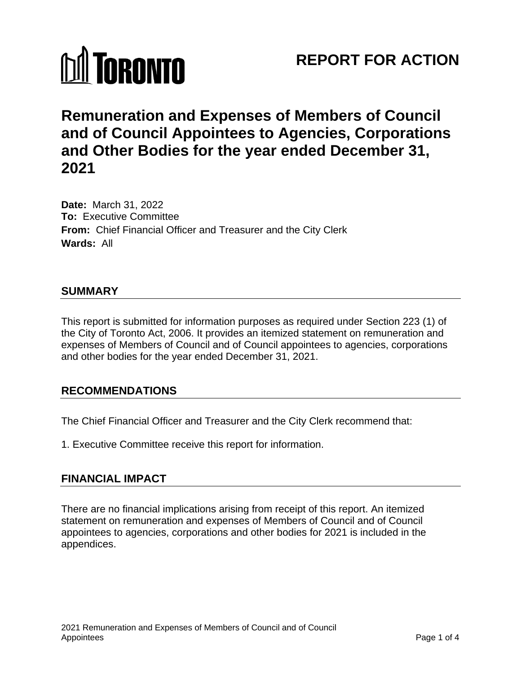

# **REPORT FOR ACTION**

# **Remuneration and Expenses of Members of Council and of Council Appointees to Agencies, Corporations and Other Bodies for the year ended December 31, 2021**

**Date:** March 31, 2022 **To:** Executive Committee **From:** Chief Financial Officer and Treasurer and the City Clerk **Wards:** All

### **SUMMARY**

This report is submitted for information purposes as required under Section 223 (1) of the City of Toronto Act, 2006. It provides an itemized statement on remuneration and expenses of Members of Council and of Council appointees to agencies, corporations and other bodies for the year ended December 31, 2021.

### **RECOMMENDATIONS**

The Chief Financial Officer and Treasurer and the City Clerk recommend that:

1. Executive Committee receive this report for information.

## **FINANCIAL IMPACT**

There are no financial implications arising from receipt of this report. An itemized statement on remuneration and expenses of Members of Council and of Council appointees to agencies, corporations and other bodies for 2021 is included in the appendices.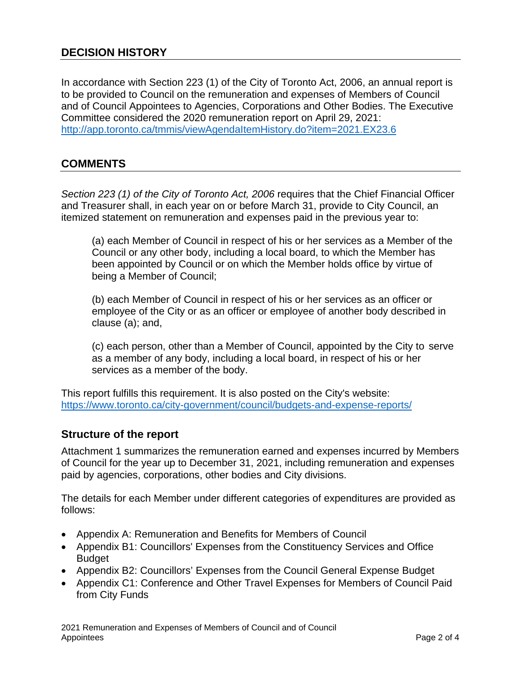## **DECISION HISTORY**

In accordance with Section 223 (1) of the City of Toronto Act, 2006, an annual report is to be provided to Council on the remuneration and expenses of Members of Council and of Council Appointees to Agencies, Corporations and Other Bodies. The Executive Committee considered the 2020 remuneration report on April 29, 2021: <http://app.toronto.ca/tmmis/viewAgendaItemHistory.do?item=2021.EX23.6>

### **COMMENTS**

*Section 223 (1) of the City of Toronto Act, 2006* requires that the Chief Financial Officer and Treasurer shall, in each year on or before March 31, provide to City Council, an itemized statement on remuneration and expenses paid in the previous year to:

(a) each Member of Council in respect of his or her services as a Member of the Council or any other body, including a local board, to which the Member has been appointed by Council or on which the Member holds office by virtue of being a Member of Council;

(b) each Member of Council in respect of his or her services as an officer or employee of the City or as an officer or employee of another body described in clause (a); and,

(c) each person, other than a Member of Council, appointed by the City to serve as a member of any body, including a local board, in respect of his or her services as a member of the body.

This report fulfills this requirement. It is also posted on the City's website: https://www.toronto.ca/city-government/council/budgets-and-expense-reports/

### **Structure of the report**

Attachment 1 summarizes the remuneration earned and expenses incurred by Members of Council for the year up to December 31, 2021, including remuneration and expenses paid by agencies, corporations, other bodies and City divisions.

The details for each Member under different categories of expenditures are provided as follows:

- Appendix A: Remuneration and Benefits for Members of Council
- Appendix B1: Councillors' Expenses from the Constituency Services and Office **Budget**
- Appendix B2: Councillors' Expenses from the Council General Expense Budget
- Appendix C1: Conference and Other Travel Expenses for Members of Council Paid from City Funds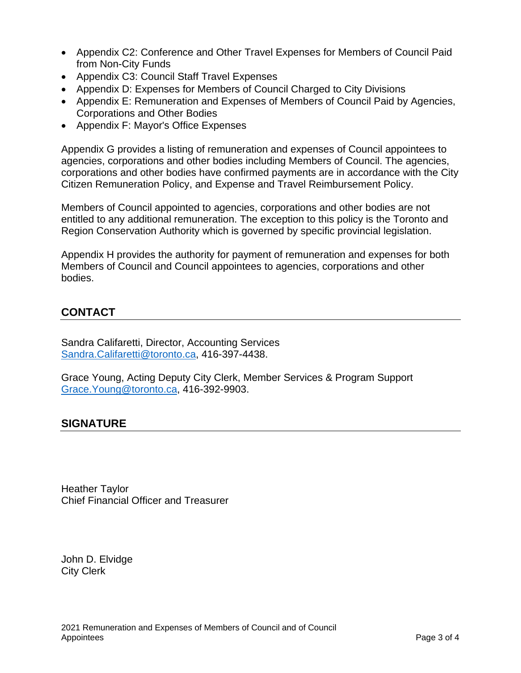- Appendix C2: Conference and Other Travel Expenses for Members of Council Paid from Non-City Funds
- Appendix C3: Council Staff Travel Expenses
- Appendix D: Expenses for Members of Council Charged to City Divisions
- Appendix E: Remuneration and Expenses of Members of Council Paid by Agencies, Corporations and Other Bodies
- Appendix F: Mayor's Office Expenses

Appendix G provides a listing of remuneration and expenses of Council appointees to agencies, corporations and other bodies including Members of Council. The agencies, corporations and other bodies have confirmed payments are in accordance with the City Citizen Remuneration Policy, and Expense and Travel Reimbursement Policy.

Members of Council appointed to agencies, corporations and other bodies are not entitled to any additional remuneration. The exception to this policy is the Toronto and Region Conservation Authority which is governed by specific provincial legislation.

Appendix H provides the authority for payment of remuneration and expenses for both Members of Council and Council appointees to agencies, corporations and other bodies.

## **CONTACT**

Sandra Califaretti, Director, Accounting Services [Sandra.Califaretti@toronto.ca,](mailto:Sandra.Califaretti@toronto.ca) 416-397-4438.

Grace Young, Acting Deputy City Clerk, Member Services & Program Support [Grace.Young@toronto.ca,](mailto:Grace.Young@toronto.ca) 416-392-9903.

## **SIGNATURE**

Heather Taylor Chief Financial Officer and Treasurer

John D. Elvidge City Clerk